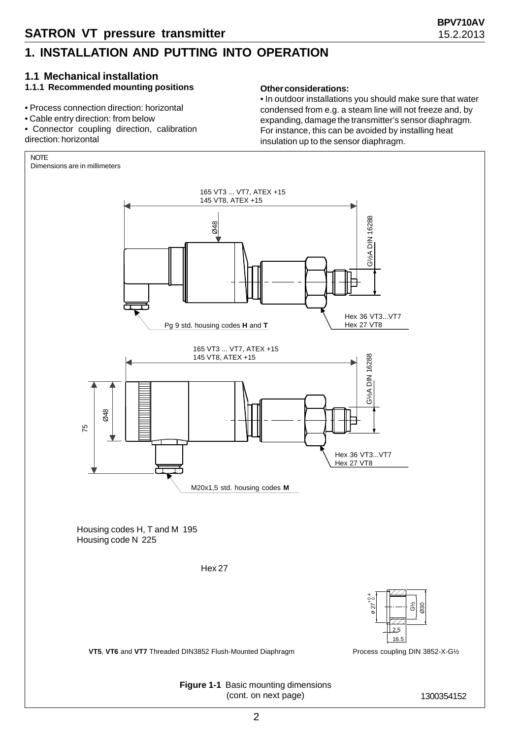#### **1.1 Mechanical installation**

#### **1.1.1 Recommended mounting positions**

- Process connection direction: horizontal
- Cable entry direction: from below
- Connector coupling direction, calibration direction: horizontal

#### **Other considerations:**

• In outdoor installations you should make sure that water condensed from e.g. a steam line will not freeze and, by expanding, damage the transmitter's sensor diaphragm. For instance, this can be avoided by installing heat insulation up to the sensor diaphragm.

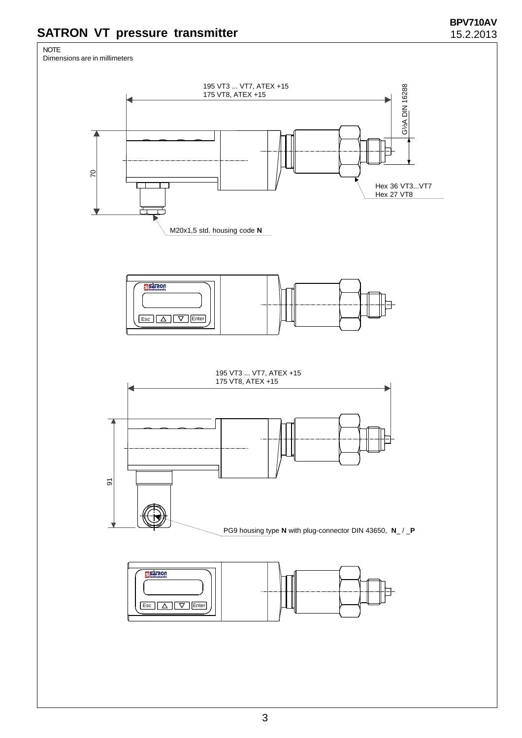### **SATRON VT pressure transmitter**

# NOTE Dimensions are in millimeters195 VT3 ... VT7, ATEX +15 G<sup>/2</sup>A DIN 16288 175 VT8, ATEX +15 70 Hex 36 VT3...VT7<br>Hex 27 VT8 M20x1,5 std. housing code **N PIET AND** Esc | A | V | Enter 195 VT3 ... VT7, ATEX +15 175 VT8, ATEX +15 Z 91 PG9 housing type **N** with plug-connector DIN 43650, **N**\_ / \_**P PISTILIOU** Esc | A | V | Enter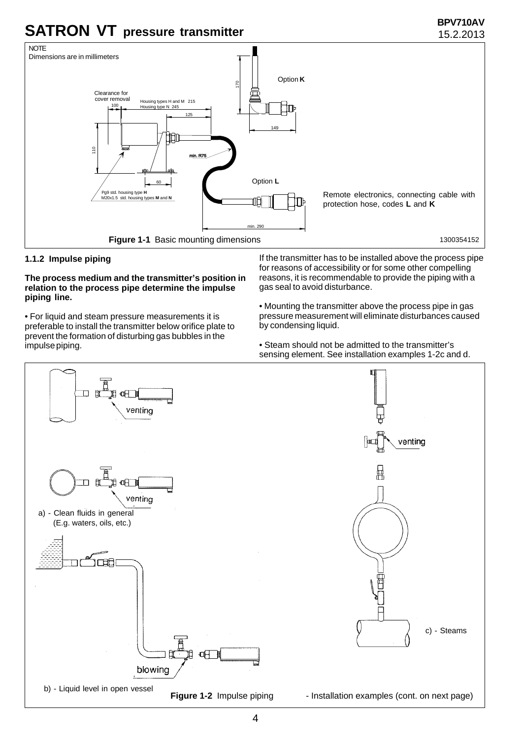

#### **1.1.2 Impulse piping**

#### **The process medium and the transmitter's position in relation to the process pipe determine the impulse piping line.**

• For liquid and steam pressure measurements it is preferable to install the transmitter below orifice plate to prevent the formation of disturbing gas bubbles in the impulse piping.

If the transmitter has to be installed above the process pipe for reasons of accessibility or for some other compelling reasons, it is recommendable to provide the piping with a gas seal to avoid disturbance.

• Mounting the transmitter above the process pipe in gas pressure measurement will eliminate disturbances caused by condensing liquid.

• Steam should not be admitted to the transmitter's sensing element. See installation examples 1-2c and d.

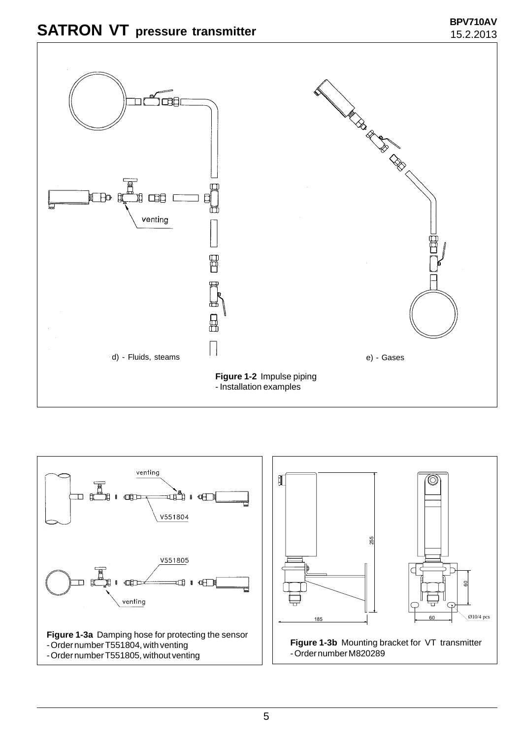



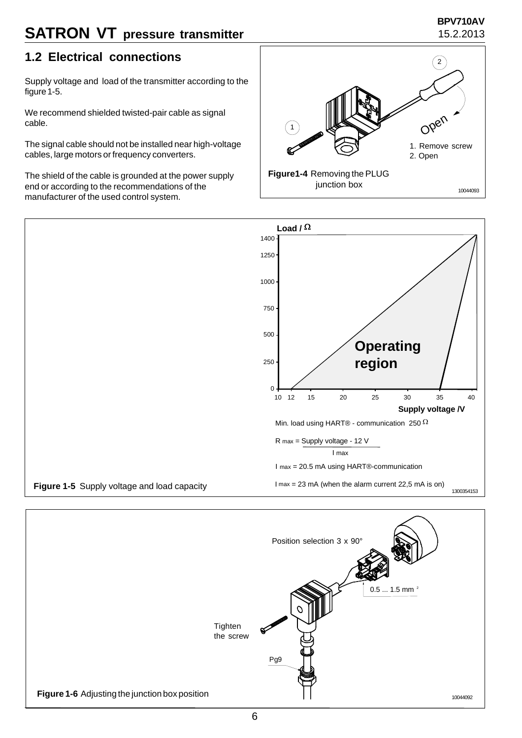### **SATRON VT** pressure transmitter 15.2.2013

## **BPV710AV**

#### **1.2 Electrical connections**

Supply voltage and load of the transmitter according to the figure 1-5.

We recommend shielded twisted-pair cable as signal cable.

The signal cable should not be installed near high-voltage cables, large motors or frequency converters.

The shield of the cable is grounded at the power supply end or according to the recommendations of the manufacturer of the used control system.





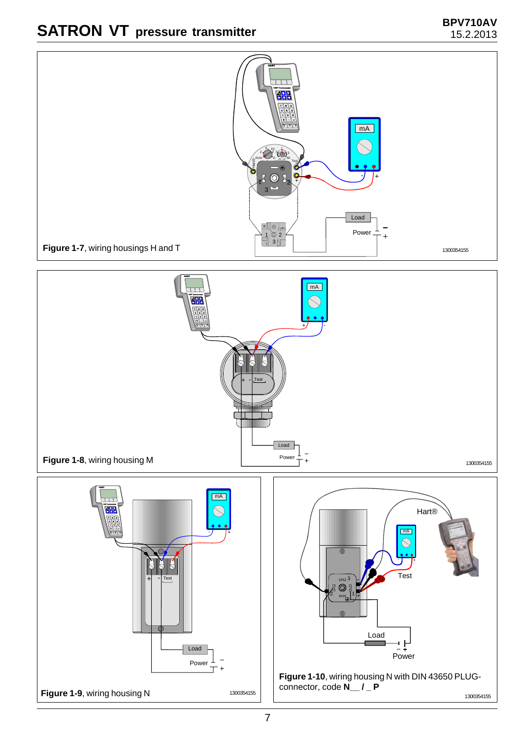

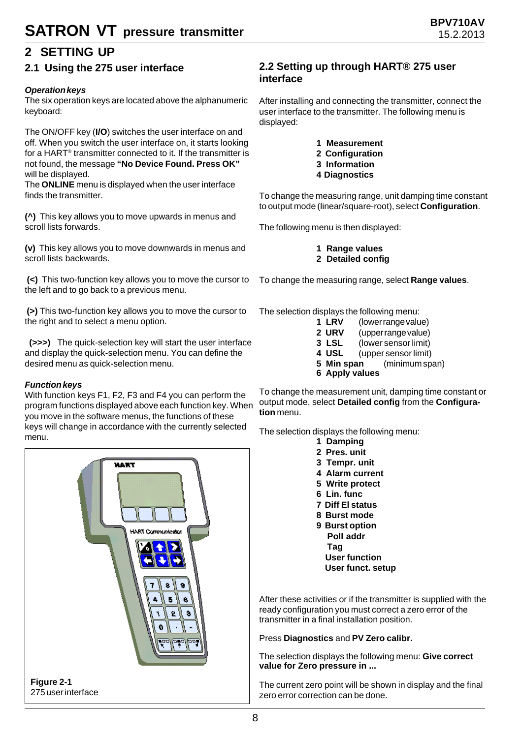### **2 SETTING UP**

#### **2.1 Using the 275 user interface**

#### *Operation keys*

The six operation keys are located above the alphanumeric keyboard:

The ON/OFF key (**I/O**) switches the user interface on and off. When you switch the user interface on, it starts looking for a HART® transmitter connected to it. If the transmitter is not found, the message **"No Device Found. Press OK"** will be displayed.

The **ONLINE** menu is displayed when the user interface finds the transmitter.

**(^)** This key allows you to move upwards in menus and scroll lists forwards.

**(v)** This key allows you to move downwards in menus and scroll lists backwards.

**(<)** This two-function key allows you to move the cursor to the left and to go back to a previous menu.

**(>)** This two-function key allows you to move the cursor to the right and to select a menu option.

 **(>>>)** The quick-selection key will start the user interface and display the quick-selection menu. You can define the desired menu as quick-selection menu.

#### *Function keys*

With function keys F1, F2, F3 and F4 you can perform the program functions displayed above each function key. When you move in the software menus, the functions of these keys will change in accordance with the currently selected menu.



#### **2.2 Setting up through HART® 275 user interface**

After installing and connecting the transmitter, connect the user interface to the transmitter. The following menu is displayed:

> **1 Measurement 2 Configuration 3 Information 4 Diagnostics**

To change the measuring range, unit damping time constant to output mode (linear/square-root), select **Configuration**.

The following menu is then displayed:

**1 Range values 2 Detailed config**

To change the measuring range, select **Range values**.

The selection displays the following menu:

- **1 LRV** (lower range value)
- **2 URV** (upper range value)
- **3 LSL** (lower sensor limit)
- **4 USL** (upper sensor limit)
- **5 Min span** (minimum span)
- **6 Apply values**

To change the measurement unit, damping time constant or output mode, select **Detailed config** from the **Configuration** menu.

The selection displays the following menu:

- **1 Damping**
- **2 Pres. unit**
- **3 Tempr. unit**
- **4 Alarm current**
- **5 Write protect**
- **6 Lin. func**
- **7 Diff El status**
- **8 Burst mode**
- **9 Burst option Poll addr Tag User function**
	- **User funct. setup**

After these activities or if the transmitter is supplied with the ready configuration you must correct a zero error of the transmitter in a final installation position.

Press **Diagnostics** and **PV Zero calibr.**

The selection displays the following menu: **Give correct value for Zero pressure in ...**

The current zero point will be shown in display and the final zero error correction can be done.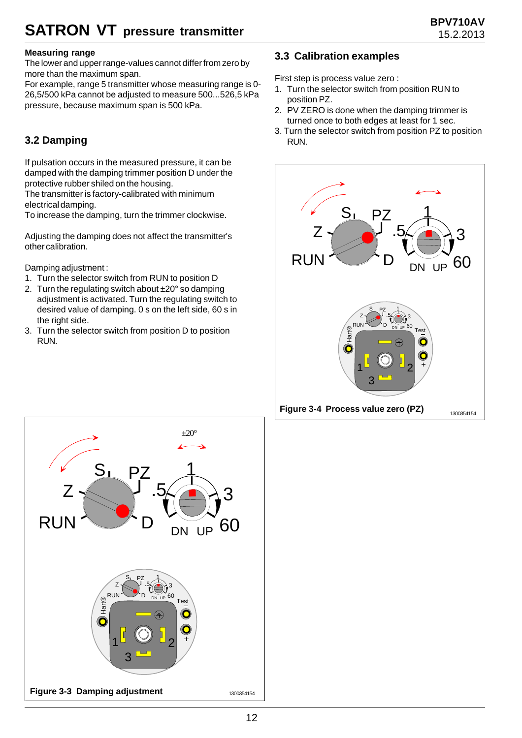## **SATRON VT** pressure transmitter 15.2.2013

#### **Measuring range**

The lower and upper range-values cannot differ from zero by more than the maximum span.

For example, range 5 transmitter whose measuring range is 0- 26,5/500 kPa cannot be adjusted to measure 500...526,5 kPa pressure, because maximum span is 500 kPa.

### **3.2 Damping**

If pulsation occurs in the measured pressure, it can be damped with the damping trimmer position D under the protective rubber shiled on the housing.

The transmitter is factory-calibrated with minimum electrical damping.

To increase the damping, turn the trimmer clockwise.

Adjusting the damping does not affect the transmitter's other calibration.

Damping adjustment :

- 1. Turn the selector switch from RUN to position D
- 2. Turn the regulating switch about  $\pm 20^{\circ}$  so damping adjustment is activated. Turn the regulating switch to desired value of damping. 0 s on the left side, 60 s in the right side.
- 3. Turn the selector switch from position D to position RUN.

#### **3.3 Calibration examples**

First step is process value zero :

- 1. Turn the selector switch from position RUN to position PZ.
- 2. PV ZERO is done when the damping trimmer is turned once to both edges at least for 1 sec.
- 3. Turn the selector switch from position PZ to position RUN.



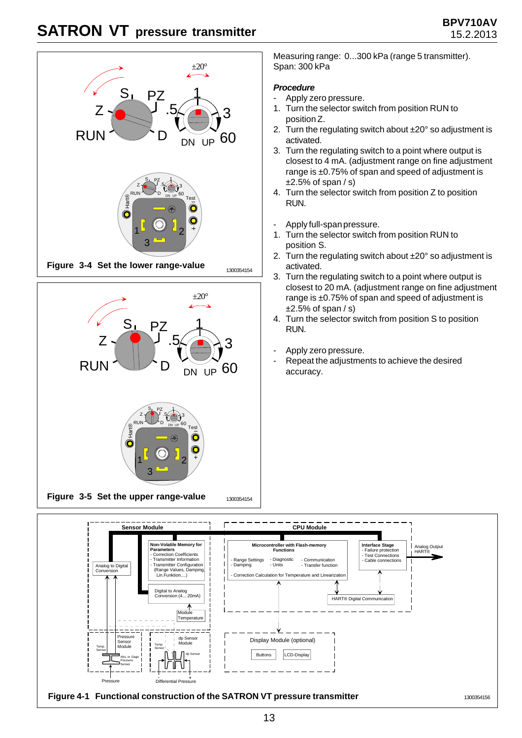



Measuring range: 0...300 kPa (range 5 transmitter). Span: 300 kPa

#### *Procedure*

- Apply zero pressure.
- 1. Turn the selector switch from position RUN to position Z.
- 2. Turn the regulating switch about ±20° so adjustment is activated.
- 3. Turn the regulating switch to a point where output is closest to 4 mA. (adjustment range on fine adjustment range is ±0.75% of span and speed of adjustment is  $±2.5%$  of span  $/s$ )
- 4. Turn the selector switch from position Z to position RUN.
- Apply full-span pressure.
- 1. Turn the selector switch from position RUN to position S.
- 2. Turn the regulating switch about ±20° so adjustment is activated.
- 3. Turn the regulating switch to a point where output is closest to 20 mA. (adjustment range on fine adjustment range is ±0.75% of span and speed of adjustment is  $±2.5%$  of span  $/s)$
- 4. Turn the selector switch from position S to position RUN.
- Apply zero pressure.
- Repeat the adjustments to achieve the desired accuracy.



13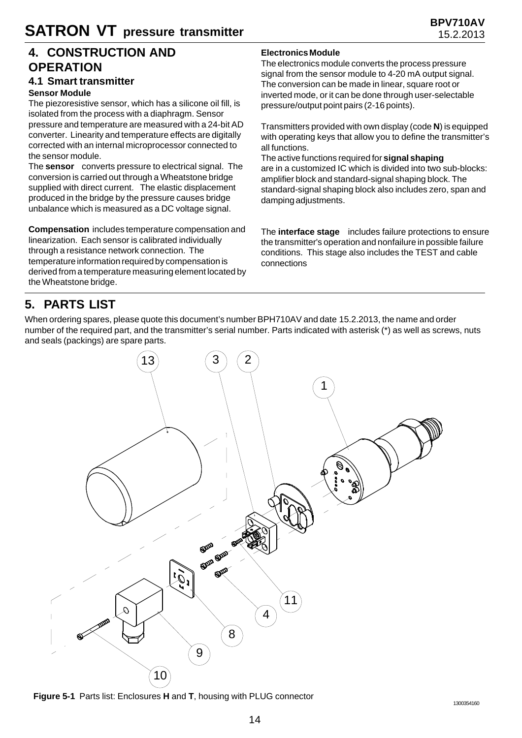#### **4. CONSTRUCTION AND OPERATION**

#### **4.1 Smart transmitter**

#### **Sensor Module**

The piezoresistive sensor, which has a silicone oil fill, is isolated from the process with a diaphragm. Sensor pressure and temperature are measured with a 24-bit AD converter. Linearity and temperature effects are digitally corrected with an internal microprocessor connected to the sensor module.

The **sensor** converts pressure to electrical signal. The conversion is carried out through a Wheatstone bridge supplied with direct current. The elastic displacement produced in the bridge by the pressure causes bridge unbalance which is measured as a DC voltage signal.

**Compensation** includes temperature compensation and linearization. Each sensor is calibrated individually through a resistance network connection. The temperature information required by compensation is derived from a temperature measuring element located by the Wheatstone bridge.

#### **Electronics Module**

The electronics module converts the process pressure signal from the sensor module to 4-20 mA output signal. The conversion can be made in linear, square root or inverted mode, or it can be done through user-selectable pressure/output point pairs (2-16 points).

Transmitters provided with own display (code **N**) is equipped with operating keys that allow you to define the transmitter's all functions.

The active functions required for **signal shaping** are in a customized IC which is divided into two sub-blocks: amplifier block and standard-signal shaping block. The standard-signal shaping block also includes zero, span and damping adjustments.

The **interface stage** includes failure protections to ensure the transmitter's operation and nonfailure in possible failure conditions. This stage also includes the TEST and cable connections

### **5. PARTS LIST**

When ordering spares, please quote this document's number BPH710AV and date 15.2.2013, the name and order number of the required part, and the transmitter's serial number. Parts indicated with asterisk (\*) as well as screws, nuts and seals (packings) are spare parts.



**Figure 5-1** Parts list: Enclosures **H** and **T**, housing with PLUG connector 1300354160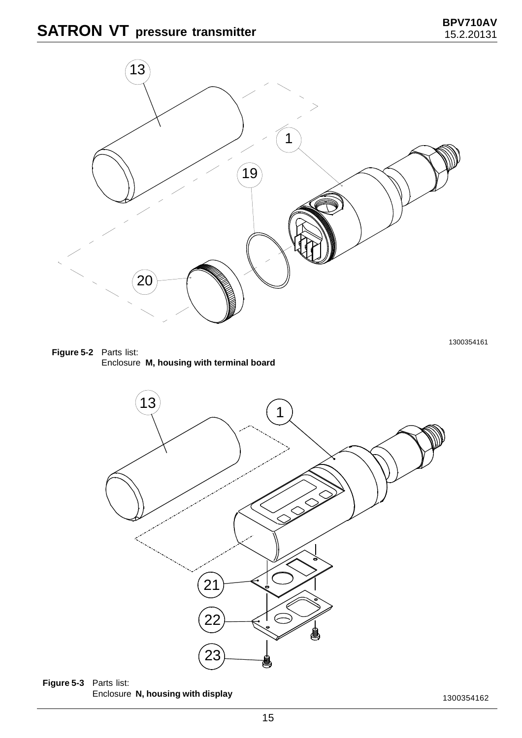





**Figure 5-3** Parts list: Enclosure **N, housing with display**